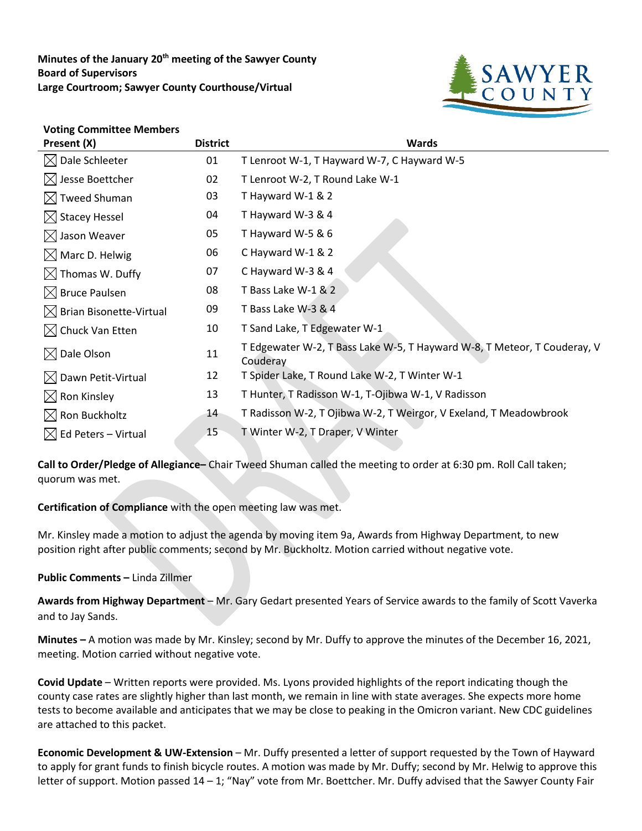Minutes of the January 20<sup>th</sup> meeting of the Sawyer County **Board of Supervisors Large Courtroom; Sawyer County Courthouse/Virtual**



## **Voting Committee Members**

| Present (X)                         | <b>District</b> | <b>Wards</b>                                                                         |
|-------------------------------------|-----------------|--------------------------------------------------------------------------------------|
| $\boxtimes$ Dale Schleeter          | 01              | T Lenroot W-1, T Hayward W-7, C Hayward W-5                                          |
| $\boxtimes$ Jesse Boettcher         | 02              | T Lenroot W-2, T Round Lake W-1                                                      |
| $\boxtimes$ Tweed Shuman            | 03              | T Hayward W-1 & 2                                                                    |
| $\boxtimes$ Stacey Hessel           | 04              | T Hayward W-3 & 4                                                                    |
| $\boxtimes$ Jason Weaver            | 05              | T Hayward W-5 & 6                                                                    |
| $\boxtimes$ Marc D. Helwig          | 06              | C Hayward W-1 & 2                                                                    |
| $\boxtimes$ Thomas W. Duffy         | 07              | C Hayward W-3 & 4                                                                    |
| $\boxtimes$ Bruce Paulsen           | 08              | T Bass Lake W-1 & 2                                                                  |
| $\boxtimes$ Brian Bisonette-Virtual | 09              | T Bass Lake W-3 & 4                                                                  |
| $\boxtimes$ Chuck Van Etten         | 10              | T Sand Lake, T Edgewater W-1                                                         |
| $\boxtimes$ Dale Olson              | 11              | T Edgewater W-2, T Bass Lake W-5, T Hayward W-8, T Meteor, T Couderay, V<br>Couderay |
| $\boxtimes$ Dawn Petit-Virtual      | 12              | T Spider Lake, T Round Lake W-2, T Winter W-1                                        |
| $\boxtimes$ Ron Kinsley             | 13              | T Hunter, T Radisson W-1, T-Ojibwa W-1, V Radisson                                   |
| $\boxtimes$ Ron Buckholtz           | 14              | T Radisson W-2, T Ojibwa W-2, T Weirgor, V Exeland, T Meadowbrook                    |
| $\boxtimes$ Ed Peters – Virtual     | 15              | T Winter W-2, T Draper, V Winter                                                     |

**Call to Order/Pledge of Allegiance–** Chair Tweed Shuman called the meeting to order at 6:30 pm. Roll Call taken; quorum was met.

**Certification of Compliance** with the open meeting law was met.

Mr. Kinsley made a motion to adjust the agenda by moving item 9a, Awards from Highway Department, to new position right after public comments; second by Mr. Buckholtz. Motion carried without negative vote.

## **Public Comments –** Linda Zillmer

**Awards from Highway Department** – Mr. Gary Gedart presented Years of Service awards to the family of Scott Vaverka and to Jay Sands.

**Minutes –** A motion was made by Mr. Kinsley; second by Mr. Duffy to approve the minutes of the December 16, 2021, meeting. Motion carried without negative vote.

**Covid Update** – Written reports were provided. Ms. Lyons provided highlights of the report indicating though the county case rates are slightly higher than last month, we remain in line with state averages. She expects more home tests to become available and anticipates that we may be close to peaking in the Omicron variant. New CDC guidelines are attached to this packet.

**Economic Development & UW-Extension** – Mr. Duffy presented a letter of support requested by the Town of Hayward to apply for grant funds to finish bicycle routes. A motion was made by Mr. Duffy; second by Mr. Helwig to approve this letter of support. Motion passed 14 – 1; "Nay" vote from Mr. Boettcher. Mr. Duffy advised that the Sawyer County Fair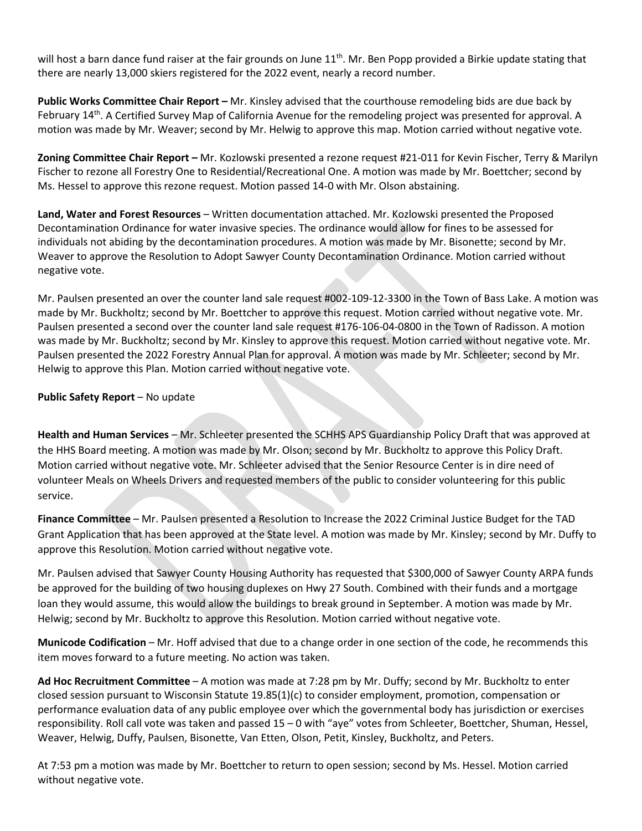will host a barn dance fund raiser at the fair grounds on June  $11^{th}$ . Mr. Ben Popp provided a Birkie update stating that there are nearly 13,000 skiers registered for the 2022 event, nearly a record number.

**Public Works Committee Chair Report –** Mr. Kinsley advised that the courthouse remodeling bids are due back by February 14<sup>th</sup>. A Certified Survey Map of California Avenue for the remodeling project was presented for approval. A motion was made by Mr. Weaver; second by Mr. Helwig to approve this map. Motion carried without negative vote.

**Zoning Committee Chair Report –** Mr. Kozlowski presented a rezone request #21-011 for Kevin Fischer, Terry & Marilyn Fischer to rezone all Forestry One to Residential/Recreational One. A motion was made by Mr. Boettcher; second by Ms. Hessel to approve this rezone request. Motion passed 14-0 with Mr. Olson abstaining.

**Land, Water and Forest Resources** – Written documentation attached. Mr. Kozlowski presented the Proposed Decontamination Ordinance for water invasive species. The ordinance would allow for fines to be assessed for individuals not abiding by the decontamination procedures. A motion was made by Mr. Bisonette; second by Mr. Weaver to approve the Resolution to Adopt Sawyer County Decontamination Ordinance. Motion carried without negative vote.

Mr. Paulsen presented an over the counter land sale request #002-109-12-3300 in the Town of Bass Lake. A motion was made by Mr. Buckholtz; second by Mr. Boettcher to approve this request. Motion carried without negative vote. Mr. Paulsen presented a second over the counter land sale request #176-106-04-0800 in the Town of Radisson. A motion was made by Mr. Buckholtz; second by Mr. Kinsley to approve this request. Motion carried without negative vote. Mr. Paulsen presented the 2022 Forestry Annual Plan for approval. A motion was made by Mr. Schleeter; second by Mr. Helwig to approve this Plan. Motion carried without negative vote.

**Public Safety Report** – No update

**Health and Human Services** – Mr. Schleeter presented the SCHHS APS Guardianship Policy Draft that was approved at the HHS Board meeting. A motion was made by Mr. Olson; second by Mr. Buckholtz to approve this Policy Draft. Motion carried without negative vote. Mr. Schleeter advised that the Senior Resource Center is in dire need of volunteer Meals on Wheels Drivers and requested members of the public to consider volunteering for this public service.

**Finance Committee** – Mr. Paulsen presented a Resolution to Increase the 2022 Criminal Justice Budget for the TAD Grant Application that has been approved at the State level. A motion was made by Mr. Kinsley; second by Mr. Duffy to approve this Resolution. Motion carried without negative vote.

Mr. Paulsen advised that Sawyer County Housing Authority has requested that \$300,000 of Sawyer County ARPA funds be approved for the building of two housing duplexes on Hwy 27 South. Combined with their funds and a mortgage loan they would assume, this would allow the buildings to break ground in September. A motion was made by Mr. Helwig; second by Mr. Buckholtz to approve this Resolution. Motion carried without negative vote.

**Municode Codification** – Mr. Hoff advised that due to a change order in one section of the code, he recommends this item moves forward to a future meeting. No action was taken.

**Ad Hoc Recruitment Committee** – A motion was made at 7:28 pm by Mr. Duffy; second by Mr. Buckholtz to enter closed session pursuant to Wisconsin Statute 19.85(1)(c) to consider employment, promotion, compensation or performance evaluation data of any public employee over which the governmental body has jurisdiction or exercises responsibility. Roll call vote was taken and passed 15 – 0 with "aye" votes from Schleeter, Boettcher, Shuman, Hessel, Weaver, Helwig, Duffy, Paulsen, Bisonette, Van Etten, Olson, Petit, Kinsley, Buckholtz, and Peters.

At 7:53 pm a motion was made by Mr. Boettcher to return to open session; second by Ms. Hessel. Motion carried without negative vote.